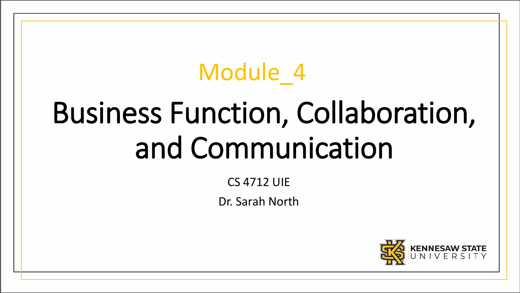# Module 4

# Business Function, Collaboration, and Communication

CS 4712 UIE

Dr. Sarah North

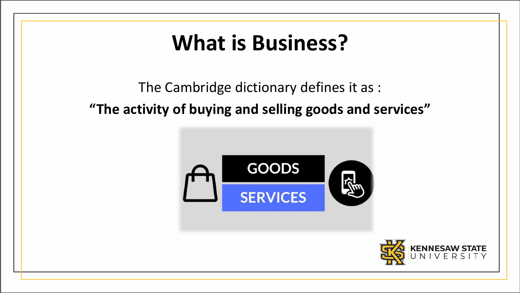### **What is Business?**

#### The Cambridge dictionary defines it as : **"The activity of buying and selling goods and services"**



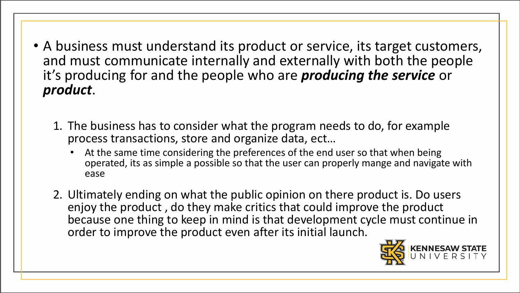- A business must understand its product or service, its target customers, and must communicate internally and externally with both the people it's producing for and the people who are *producing the service* or *product*.
	- 1. The business has to consider what the program needs to do, for example process transactions, store and organize data, ect…
		- At the same time considering the preferences of the end user so that when being operated, its as simple a possible so that the user can properly mange and navigate with ease
	- 2. Ultimately ending on what the public opinion on there product is. Do users enjoy the product , do they make critics that could improve the product because one thing to keep in mind is that development cycle must continue in order to improve the product even after its initial launch.

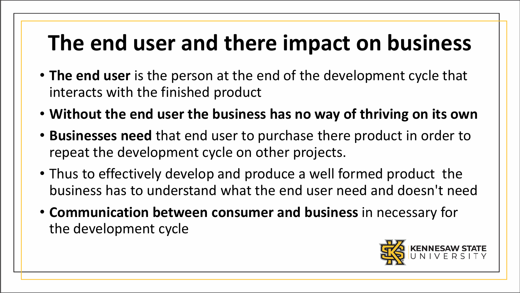# **The end user and there impact on business**

- **The end user** is the person at the end of the development cycle that interacts with the finished product
- **Without the end user the business has no way of thriving on its own**
- **Businesses need** that end user to purchase there product in order to repeat the development cycle on other projects.
- Thus to effectively develop and produce a well formed product the business has to understand what the end user need and doesn't need
- **Communication between consumer and business** in necessary for the development cycle

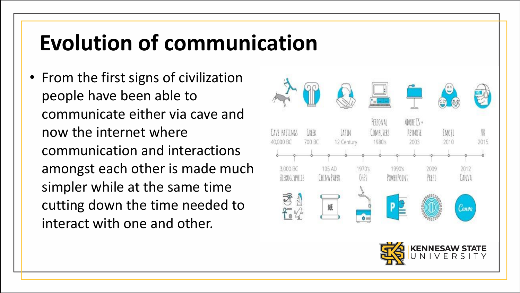#### **Evolution of communication**

• From the first signs of civilization people have been able to communicate either via cave and now the internet where communication and interactions amongst each other is made much simpler while at the same time cutting down the time needed to interact with one and other.

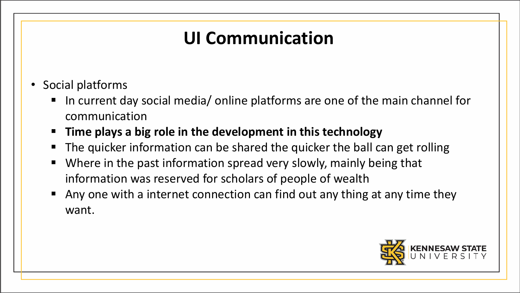#### **UI Communication**

- Social platforms
	- In current day social media/ online platforms are one of the main channel for communication
	- **Time plays a big role in the development in this technology**
	- The quicker information can be shared the quicker the ball can get rolling
	- Where in the past information spread very slowly, mainly being that information was reserved for scholars of people of wealth
	- Any one with a internet connection can find out any thing at any time they want.

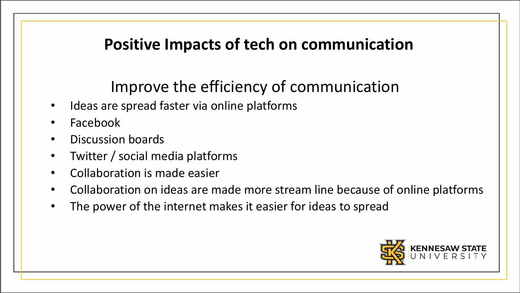#### **Positive Impacts of tech on communication**

#### Improve the efficiency of communication

- Ideas are spread faster via online platforms
- Facebook
- Discussion boards
- Twitter / social media platforms
- Collaboration is made easier
- Collaboration on ideas are made more stream line because of online platforms
- The power of the internet makes it easier for ideas to spread

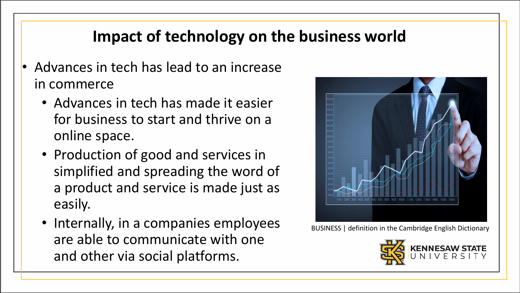#### **Impact of technology on the business world**

- Advances in tech has lead to an increase in commerce
	- Advances in tech has made it easier for business to start and thrive on a online space.
	- Production of good and services in simplified and spreading the word of a product and service is made just as easily.
	- Internally, in a companies employees are able to communicate with one and other via social platforms.



BUSINESS | definition in the Cambridge English Dictionary

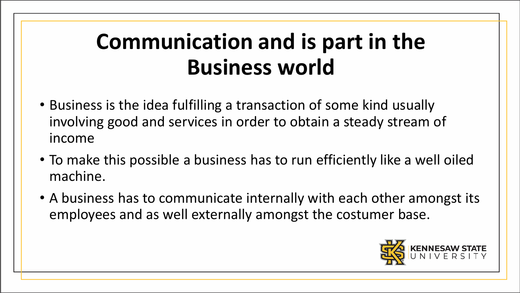# **Communication and is part in the Business world**

- Business is the idea fulfilling a transaction of some kind usually involving good and services in order to obtain a steady stream of income
- To make this possible a business has to run efficiently like a well oiled machine.
- A business has to communicate internally with each other amongst its employees and as well externally amongst the costumer base.

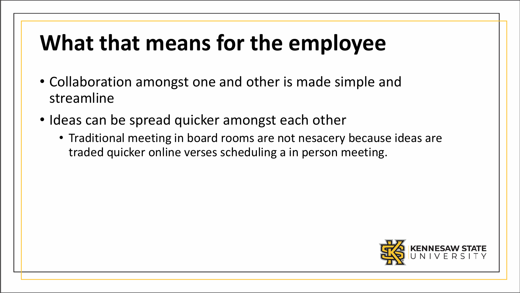## **What that means for the employee**

- Collaboration amongst one and other is made simple and streamline
- Ideas can be spread quicker amongst each other
	- Traditional meeting in board rooms are not nesacery because ideas are traded quicker online verses scheduling a in person meeting.

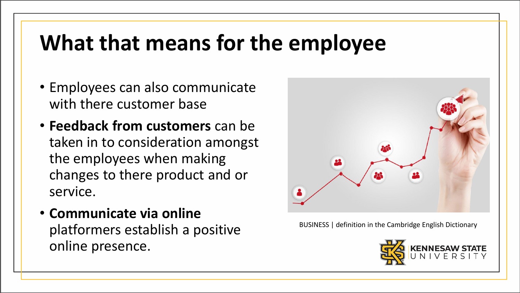#### **What that means for the employee**

- Employees can also communicate with there customer base
- **Feedback from customers** can be taken in to consideration amongst the employees when making changes to there product and or service.
- **Communicate via online**  platformers establish a positive online presence.



BUSINESS | definition in the Cambridge English Dictionary

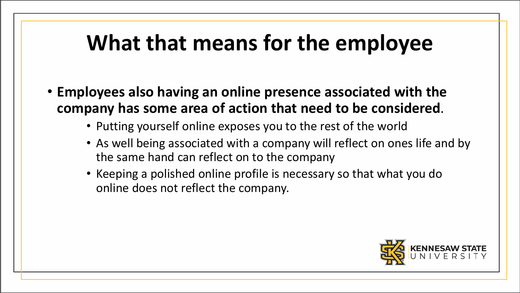#### **What that means for the employee**

- **Employees also having an online presence associated with the company has some area of action that need to be considered**.
	- Putting yourself online exposes you to the rest of the world
	- As well being associated with a company will reflect on ones life and by the same hand can reflect on to the company
	- Keeping a polished online profile is necessary so that what you do online does not reflect the company.

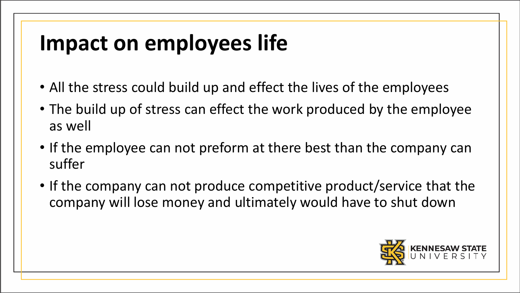# **Impact on employees life**

- All the stress could build up and effect the lives of the employees
- The build up of stress can effect the work produced by the employee as well
- If the employee can not preform at there best than the company can suffer
- If the company can not produce competitive product/service that the company will lose money and ultimately would have to shut down

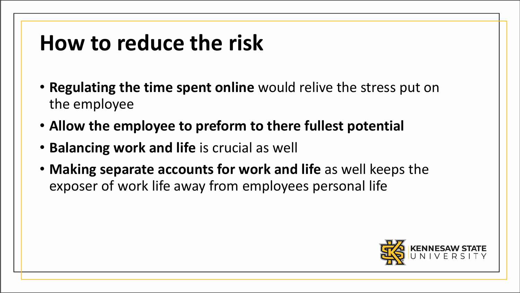#### **How to reduce the risk**

- **Regulating the time spent online** would relive the stress put on the employee
- **Allow the employee to preform to there fullest potential**
- **Balancing work and life** is crucial as well
- **Making separate accounts for work and life** as well keeps the exposer of work life away from employees personal life

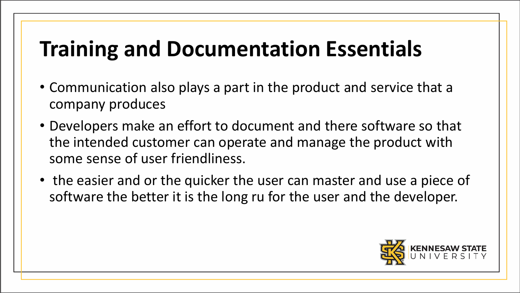#### **Training and Documentation Essentials**

- Communication also plays a part in the product and service that a company produces
- Developers make an effort to document and there software so that the intended customer can operate and manage the product with some sense of user friendliness.
- the easier and or the quicker the user can master and use a piece of software the better it is the long ru for the user and the developer.

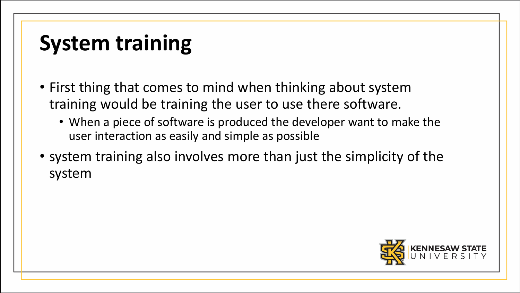# **System training**

- First thing that comes to mind when thinking about system training would be training the user to use there software.
	- When a piece of software is produced the developer want to make the user interaction as easily and simple as possible
- system training also involves more than just the simplicity of the system

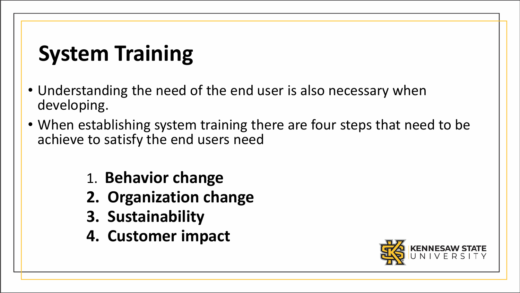# **System Training**

- Understanding the need of the end user is also necessary when developing.
- When establishing system training there are four steps that need to be achieve to satisfy the end users need
	- 1. **Behavior change**
	- **2. Organization change**
	- **3. Sustainability**
	- **4. Customer impact**

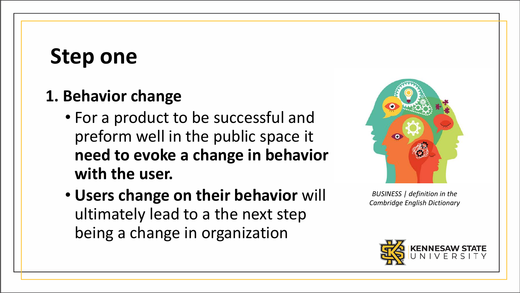#### **Step one**

#### **1. Behavior change**

- For a product to be successful and preform well in the public space it **need to evoke a change in behavior with the user.**
- **Users change on their behavior** will ultimately lead to a the next step being a change in organization



*BUSINESS | definition in the Cambridge English Dictionary*

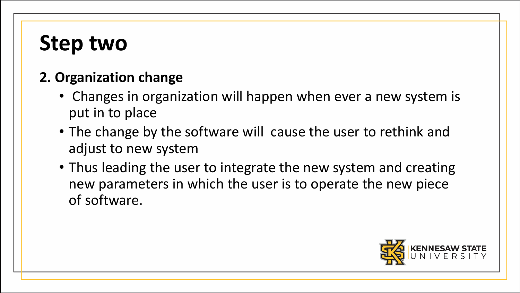#### **Step two**

#### **2. Organization change**

- Changes in organization will happen when ever a new system is put in to place
- The change by the software will cause the user to rethink and adjust to new system
- Thus leading the user to integrate the new system and creating new parameters in which the user is to operate the new piece of software.

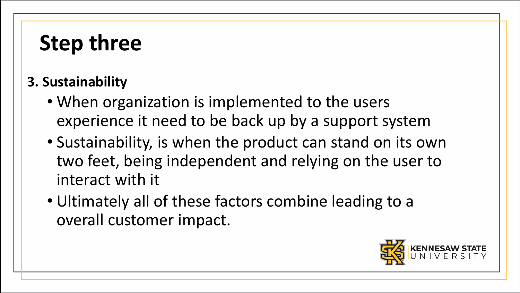### **Step three**

#### **3. Sustainability**

- When organization is implemented to the users experience it need to be back up by a support system
- Sustainability, is when the product can stand on its own two feet, being independent and relying on the user to interact with it
- Ultimately all of these factors combine leading to a overall customer impact.

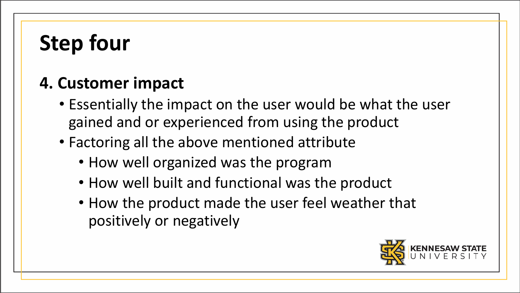# **Step four**

#### **4. Customer impact**

- Essentially the impact on the user would be what the user gained and or experienced from using the product
- Factoring all the above mentioned attribute
	- How well organized was the program
	- How well built and functional was the product
	- How the product made the user feel weather that positively or negatively

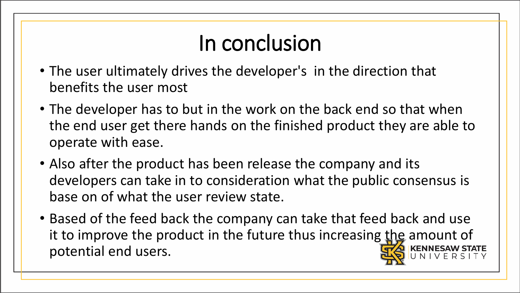# In conclusion

- The user ultimately drives the developer's in the direction that benefits the user most
- The developer has to but in the work on the back end so that when the end user get there hands on the finished product they are able to operate with ease.
- Also after the product has been release the company and its developers can take in to consideration what the public consensus is base on of what the user review state.
- Based of the feed back the company can take that feed back and use it to improve the product in the future thus increasing the amount of potential end users.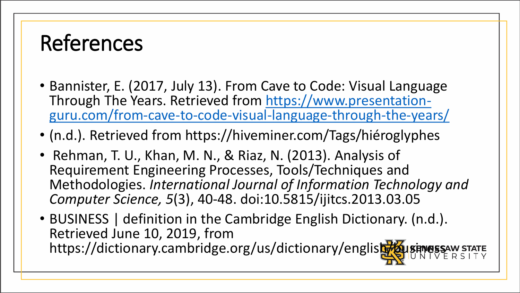#### References

- Bannister, E. (2017, July 13). From Cave to Code: Visual Language [Through The Years. Retrieved from https://www.presentation](https://www.presentation-guru.com/from-cave-to-code-visual-language-through-the-years/)guru.com/from-cave-to-code-visual-language-through-the-years/
- (n.d.). Retrieved from https://hiveminer.com/Tags/hiéroglyphes
- Rehman, T. U., Khan, M. N., & Riaz, N. (2013). Analysis of Requirement Engineering Processes, Tools/Techniques and Methodologies. *International Journal of Information Technology and Computer Science, 5*(3), 40-48. doi:10.5815/ijitcs.2013.03.05
- BUSINESS | definition in the Cambridge English Dictionary. (n.d.). Retrieved June 10, 2019, from https://dictionary.cambridge.org/us/dictionary/english/bu